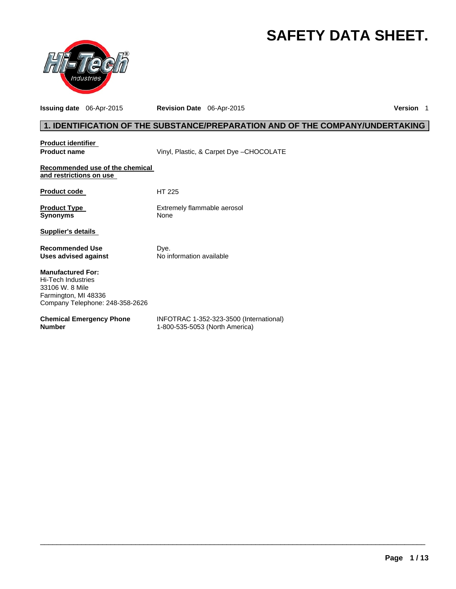# **SAFETY DATA SHEET.**



**Issuing date** 06-Apr-2015 **Revision Date** 06-Apr-2015 **Version** 1

# **1. IDENTIFICATION OF THE SUBSTANCE/PREPARATION AND OF THE COMPANY/UNDERTAKING**

| <b>Product identifier</b><br><b>Product name</b>           | Vinyl, Plastic, & Carpet Dye - CHOCOLATE                                  |
|------------------------------------------------------------|---------------------------------------------------------------------------|
|                                                            |                                                                           |
| Recommended use of the chemical<br>and restrictions on use |                                                                           |
|                                                            |                                                                           |
| <b>Product code</b>                                        | HT 225                                                                    |
| <b>Product Type</b>                                        | Extremely flammable aerosol                                               |
| <b>Synonyms</b>                                            | None                                                                      |
| <b>Supplier's details</b>                                  |                                                                           |
| <b>Recommended Use</b>                                     | Dye.                                                                      |
| Uses advised against                                       | No information available                                                  |
| <b>Manufactured For:</b>                                   |                                                                           |
| <b>Hi-Tech Industries</b><br>33106 W. 8 Mile               |                                                                           |
| Farmington, MI 48336<br>Company Telephone: 248-358-2626    |                                                                           |
|                                                            |                                                                           |
| <b>Chemical Emergency Phone</b><br><b>Number</b>           | INFOTRAC 1-352-323-3500 (International)<br>1-800-535-5053 (North America) |
|                                                            |                                                                           |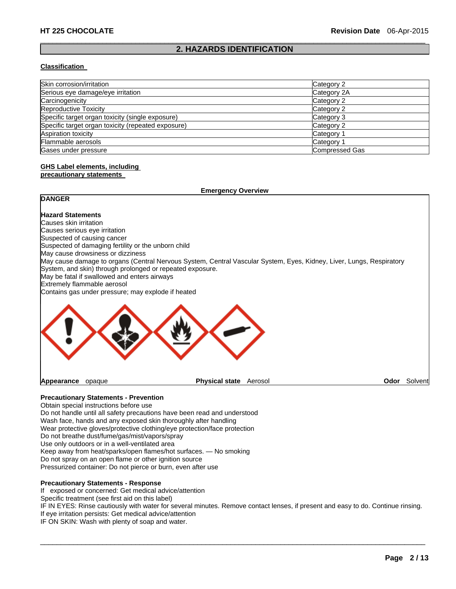#### $\Box$ **2. HAZARDS IDENTIFICATION**

#### **Classification**

| Skin corrosion/irritation                          | Category 2     |  |
|----------------------------------------------------|----------------|--|
| Serious eye damage/eye irritation                  | Category 2A    |  |
| Carcinogenicity                                    | Category 2     |  |
| <b>Reproductive Toxicity</b>                       | Category 2     |  |
| Specific target organ toxicity (single exposure)   | Category 3     |  |
| Specific target organ toxicity (repeated exposure) | Category 2     |  |
| Aspiration toxicity                                | Category 1     |  |
| Flammable aerosols                                 | Category 1     |  |
| Gases under pressure                               | Compressed Gas |  |

# **GHS Label elements, including**

### **precautionary statements**

|                                                           | <b>Emergency Overview</b>                                                                                            |      |         |
|-----------------------------------------------------------|----------------------------------------------------------------------------------------------------------------------|------|---------|
| <b>DANGER</b>                                             |                                                                                                                      |      |         |
| <b>Hazard Statements</b>                                  |                                                                                                                      |      |         |
| Causes skin irritation                                    |                                                                                                                      |      |         |
| Causes serious eye irritation                             |                                                                                                                      |      |         |
| Suspected of causing cancer                               |                                                                                                                      |      |         |
| Suspected of damaging fertility or the unborn child       |                                                                                                                      |      |         |
| May cause drowsiness or dizziness                         |                                                                                                                      |      |         |
| System, and skin) through prolonged or repeated exposure. | May cause damage to organs (Central Nervous System, Central Vascular System, Eyes, Kidney, Liver, Lungs, Respiratory |      |         |
| May be fatal if swallowed and enters airways              |                                                                                                                      |      |         |
| Extremely flammable aerosol                               |                                                                                                                      |      |         |
| Contains gas under pressure; may explode if heated        |                                                                                                                      |      |         |
|                                                           |                                                                                                                      |      |         |
| Appearance<br>opaque                                      | <b>Physical state</b><br>Aerosol                                                                                     | Odor | Solvent |

### **Precautionary Statements - Prevention**

Obtain special instructions before use Do not handle until all safety precautions have been read and understood Wash face, hands and any exposed skin thoroughly after handling Wear protective gloves/protective clothing/eye protection/face protection Do not breathe dust/fume/gas/mist/vapors/spray Use only outdoors or in a well-ventilated area Keep away from heat/sparks/open flames/hot surfaces. — No smoking Do not spray on an open flame or other ignition source Pressurized container: Do not pierce or burn, even after use

#### **Precautionary Statements - Response**

If exposed or concerned: Get medical advice/attention

Specific treatment (see first aid on this label)

IF IN EYES: Rinse cautiously with water for several minutes. Remove contact lenses, if present and easy to do. Continue rinsing. If eye irritation persists: Get medical advice/attention

 $\Box$ 

IF ON SKIN: Wash with plenty of soap and water.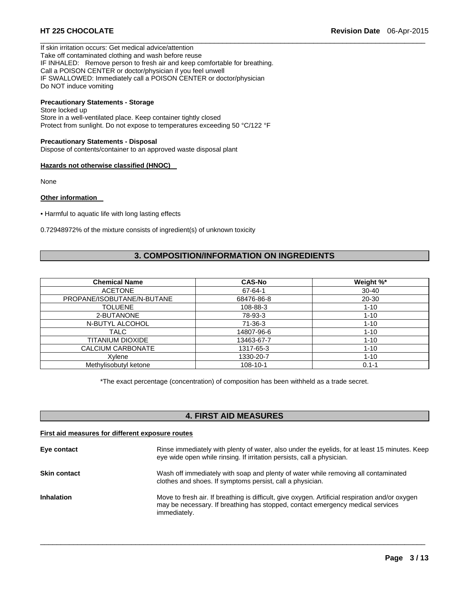If skin irritation occurs: Get medical advice/attention Take off contaminated clothing and wash before reuse IF INHALED: Remove person to fresh air and keep comfortable for breathing. Call a POISON CENTER or doctor/physician if you feel unwell IF SWALLOWED: Immediately call a POISON CENTER or doctor/physician Do NOT induce vomiting

# **Precautionary Statements - Storage**

Store locked up Store in a well-ventilated place. Keep container tightly closed Protect from sunlight. Do not expose to temperatures exceeding 50 °C/122 °F

#### **Precautionary Statements - Disposal**

Dispose of contents/container to an approved waste disposal plant

#### **Hazards not otherwise classified (HNOC)**

None

#### **Other information**

• Harmful to aquatic life with long lasting effects

0.72948972% of the mixture consists of ingredient(s) of unknown toxicity

# **3. COMPOSITION/INFORMATION ON INGREDIENTS**

 $\Box$ 

| <b>Chemical Name</b>       | <b>CAS-No</b> | Weight %* |
|----------------------------|---------------|-----------|
| <b>ACETONE</b>             | 67-64-1       | $30 - 40$ |
| PROPANE/ISOBUTANE/N-BUTANE | 68476-86-8    | 20-30     |
| <b>TOLUENE</b>             | 108-88-3      | $1 - 10$  |
| 2-BUTANONE                 | 78-93-3       | $1 - 10$  |
| N-BUTYL ALCOHOL            | $71-36-3$     | $1 - 10$  |
| TALC                       | 14807-96-6    | $1 - 10$  |
| TITANIUM DIOXIDE           | 13463-67-7    | $1 - 10$  |
| CALCIUM CARBONATE          | 1317-65-3     | $1 - 10$  |
| Xvlene                     | 1330-20-7     | $1 - 10$  |
| Methylisobutyl ketone      | 108-10-1      | $0.1 - 1$ |

\*The exact percentage (concentration) of composition has been withheld as a trade secret.

# **4. FIRST AID MEASURES**

#### **First aid measures for different exposure routes**

| Eye contact         | Rinse immediately with plenty of water, also under the eyelids, for at least 15 minutes. Keep<br>eye wide open while rinsing. If irritation persists, call a physician.                           |
|---------------------|---------------------------------------------------------------------------------------------------------------------------------------------------------------------------------------------------|
| <b>Skin contact</b> | Wash off immediately with soap and plenty of water while removing all contaminated<br>clothes and shoes. If symptoms persist, call a physician.                                                   |
| <b>Inhalation</b>   | Move to fresh air. If breathing is difficult, give oxygen. Artificial respiration and/or oxygen<br>may be necessary. If breathing has stopped, contact emergency medical services<br>immediately. |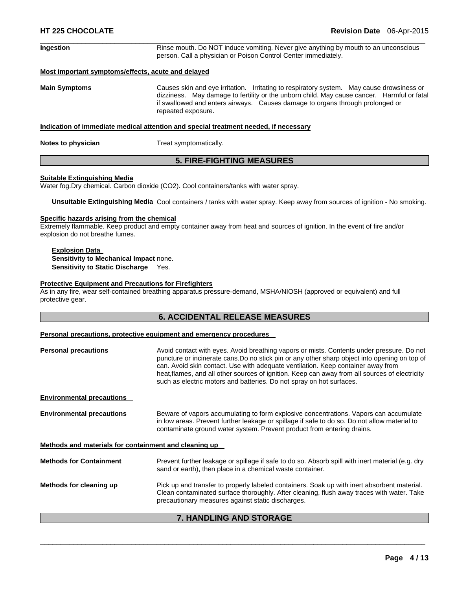| Ingestion            | Rinse mouth. Do NOT induce vomiting. Never give anything by mouth to an unconscious<br>person. Call a physician or Poison Control Center immediately.                                                                                                                                          |  |
|----------------------|------------------------------------------------------------------------------------------------------------------------------------------------------------------------------------------------------------------------------------------------------------------------------------------------|--|
|                      | Most important symptoms/effects, acute and delayed                                                                                                                                                                                                                                             |  |
| <b>Main Symptoms</b> | Causes skin and eye irritation. Irritating to respiratory system. May cause drowsiness or<br>dizziness. May damage to fertility or the unborn child. May cause cancer. Harmful or fatal<br>if swallowed and enters airways. Causes damage to organs through prolonged or<br>repeated exposure. |  |
|                      | Indication of immediate medical attention and special treatment needed, if necessary                                                                                                                                                                                                           |  |

 $\Box$ 

**Notes to physician Treat symptomatically.** 

### **5. FIRE-FIGHTING MEASURES**

#### **Suitable Extinguishing Media**

Water fog.Dry chemical. Carbon dioxide (CO2). Cool containers/tanks with water spray.

**Unsuitable Extinguishing Media** Cool containers / tanks with water spray. Keep away from sources of ignition - No smoking.

#### **Specific hazards arising from the chemical**

Extremely flammable. Keep product and empty container away from heat and sources of ignition. In the event of fire and/or explosion do not breathe fumes.

#### **Explosion Data Sensitivity to Mechanical Impact** none. **Sensitivity to Static Discharge** Yes.

#### **Protective Equipment and Precautions for Firefighters**

As in any fire, wear self-contained breathing apparatus pressure-demand, MSHA/NIOSH (approved or equivalent) and full protective gear.

### **6. ACCIDENTAL RELEASE MEASURES**

#### **Personal precautions, protective equipment and emergency procedures**

| <b>Personal precautions</b>                           | Avoid contact with eyes. Avoid breathing vapors or mists. Contents under pressure. Do not<br>puncture or incinerate cans. Do no stick pin or any other sharp object into opening on top of<br>can. Avoid skin contact. Use with adequate ventilation. Keep container away from<br>heat, flames, and all other sources of ignition. Keep can away from all sources of electricity<br>such as electric motors and batteries. Do not spray on hot surfaces. |
|-------------------------------------------------------|----------------------------------------------------------------------------------------------------------------------------------------------------------------------------------------------------------------------------------------------------------------------------------------------------------------------------------------------------------------------------------------------------------------------------------------------------------|
| <b>Environmental precautions</b>                      |                                                                                                                                                                                                                                                                                                                                                                                                                                                          |
| <b>Environmental precautions</b>                      | Beware of vapors accumulating to form explosive concentrations. Vapors can accumulate<br>in low areas. Prevent further leakage or spillage if safe to do so. Do not allow material to<br>contaminate ground water system. Prevent product from entering drains.                                                                                                                                                                                          |
| Methods and materials for containment and cleaning up |                                                                                                                                                                                                                                                                                                                                                                                                                                                          |
| <b>Methods for Containment</b>                        | Prevent further leakage or spillage if safe to do so. Absorb spill with inert material (e.g. dry<br>sand or earth), then place in a chemical waste container.                                                                                                                                                                                                                                                                                            |
| Methods for cleaning up                               | Pick up and transfer to properly labeled containers. Soak up with inert absorbent material.<br>Clean contaminated surface thoroughly. After cleaning, flush away traces with water. Take<br>precautionary measures against static discharges.                                                                                                                                                                                                            |

# **7. HANDLING AND STORAGE**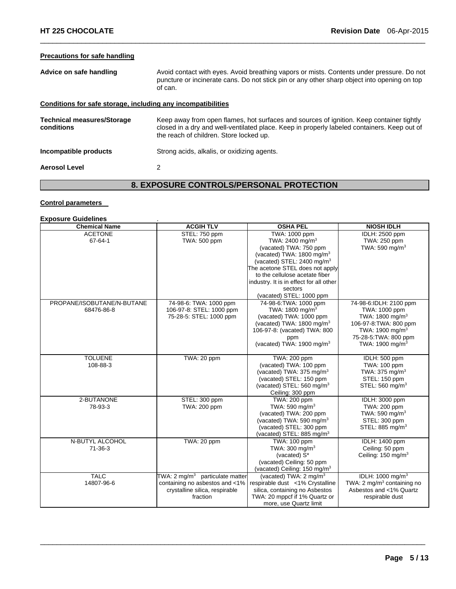## **Precautions for safe handling**

| Avoid contact with eyes. Avoid breathing vapors or mists. Contents under pressure. Do not<br>puncture or incinerate cans. Do not stick pin or any other sharp object into opening on top<br>of can.                                |  |
|------------------------------------------------------------------------------------------------------------------------------------------------------------------------------------------------------------------------------------|--|
| Conditions for safe storage, including any incompatibilities                                                                                                                                                                       |  |
| Keep away from open flames, hot surfaces and sources of ignition. Keep container tightly<br>closed in a dry and well-ventilated place. Keep in properly labeled containers. Keep out of<br>the reach of children. Store locked up. |  |
| Strong acids, alkalis, or oxidizing agents.                                                                                                                                                                                        |  |
| 2                                                                                                                                                                                                                                  |  |
|                                                                                                                                                                                                                                    |  |

 $\Box$ 

# **8. EXPOSURE CONTROLS/PERSONAL PROTECTION**

#### **Control parameters**

# **Exposure Guidelines** .

| <b>Chemical Name</b>       | <b>ACGIH TLV</b>                            | <b>OSHA PEL</b>                          | <b>NIOSH IDLH</b>                      |
|----------------------------|---------------------------------------------|------------------------------------------|----------------------------------------|
| <b>ACETONE</b>             | STEL: 750 ppm                               | TWA: 1000 ppm                            | IDLH: 2500 ppm                         |
| 67-64-1                    | TWA: 500 ppm                                | TWA: 2400 mg/m <sup>3</sup>              | TWA: 250 ppm                           |
|                            |                                             | (vacated) TWA: 750 ppm                   | TWA: 590 mg/m $3$                      |
|                            |                                             | (vacated) TWA: $1800 \text{ mg/m}^3$     |                                        |
|                            |                                             | (vacated) STEL: 2400 mg/m <sup>3</sup>   |                                        |
|                            |                                             | The acetone STEL does not apply          |                                        |
|                            |                                             | to the cellulose acetate fiber           |                                        |
|                            |                                             | industry. It is in effect for all other  |                                        |
|                            |                                             | sectors                                  |                                        |
|                            |                                             | (vacated) STEL: 1000 ppm                 |                                        |
| PROPANE/ISOBUTANE/N-BUTANE | 74-98-6: TWA: 1000 ppm                      | 74-98-6: TWA: 1000 ppm                   | 74-98-6:IDLH: 2100 ppm                 |
| 68476-86-8                 | 106-97-8: STEL: 1000 ppm                    | TWA: 1800 mg/m <sup>3</sup>              | TWA: 1000 ppm                          |
|                            | 75-28-5: STEL: 1000 ppm                     | (vacated) TWA: 1000 ppm                  | TWA: 1800 mg/m <sup>3</sup>            |
|                            |                                             | (vacated) TWA: 1800 mg/m <sup>3</sup>    | 106-97-8: TWA: 800 ppm                 |
|                            |                                             | 106-97-8: (vacated) TWA: 800             | TWA: 1900 mg/m <sup>3</sup>            |
|                            |                                             | ppm                                      | 75-28-5: TWA: 800 ppm                  |
|                            |                                             | (vacated) TWA: $1900 \text{ mg/m}^3$     | TWA: 1900 mg/m <sup>3</sup>            |
|                            |                                             |                                          |                                        |
| <b>TOLUENE</b>             | TWA: 20 ppm                                 | TWA: 200 ppm                             | IDLH: 500 ppm                          |
| 108-88-3                   |                                             | (vacated) TWA: 100 ppm                   | TWA: 100 ppm                           |
|                            |                                             | (vacated) TWA: 375 mg/m <sup>3</sup>     | TWA: $375 \text{ mg/m}^3$              |
|                            |                                             | (vacated) STEL: 150 ppm                  | STEL: 150 ppm                          |
|                            |                                             | (vacated) STEL: 560 mg/m <sup>3</sup>    | STEL: 560 mg/m <sup>3</sup>            |
|                            |                                             | Ceiling: 300 ppm                         |                                        |
| 2-BUTANONE                 | STEL: 300 ppm                               | <b>TWA: 200 ppm</b>                      | IDLH: 3000 ppm                         |
| 78-93-3                    | TWA: 200 ppm                                | TWA: 590 mg/m $3$                        | TWA: 200 ppm                           |
|                            |                                             | (vacated) TWA: 200 ppm                   | TWA: 590 mg/m <sup>3</sup>             |
|                            |                                             | (vacated) TWA: 590 mg/m <sup>3</sup>     | STEL: 300 ppm                          |
|                            |                                             | (vacated) STEL: 300 ppm                  | STEL: 885 mg/m <sup>3</sup>            |
|                            |                                             | (vacated) STEL: 885 mg/m <sup>3</sup>    |                                        |
| N-BUTYL ALCOHOL            | TWA: 20 ppm                                 | TWA: 100 ppm                             | IDLH: 1400 ppm                         |
| $71 - 36 - 3$              |                                             | TWA: $300 \text{ mg/m}^3$                | Ceiling: 50 ppm                        |
|                            |                                             | (vacated) S*                             | Ceiling: 150 mg/m <sup>3</sup>         |
|                            |                                             | (vacated) Ceiling: 50 ppm                |                                        |
|                            |                                             | (vacated) Ceiling: 150 mg/m <sup>3</sup> |                                        |
| <b>TALC</b>                | TWA: 2 mg/m <sup>3</sup> particulate matter | (vacated) TWA: 2 mg/m <sup>3</sup>       | IDLH: 1000 mg/m <sup>3</sup>           |
| 14807-96-6                 | containing no asbestos and <1%              | respirable dust <1% Crystalline          | TWA: 2 mg/m <sup>3</sup> containing no |
|                            | crystalline silica, respirable              | silica, containing no Asbestos           | Asbestos and <1% Quartz                |
|                            | fraction                                    | TWA: 20 mppcf if 1% Quartz or            | respirable dust                        |
|                            |                                             | more, use Quartz limit                   |                                        |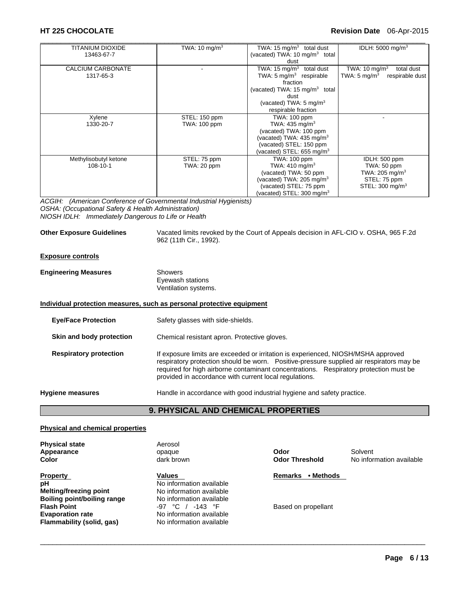#### **HT 225 CHOCOLATE Revision Date** 06-Apr-2015

| TITANIUM DIOXIDE         | TWA: 10 mg/m $3$    | TWA: 15 $mg/m3$ total dust                | IDLH: $5000 \text{ mg/m}^3$                |
|--------------------------|---------------------|-------------------------------------------|--------------------------------------------|
| 13463-67-7               |                     | (vacated) TWA: 10 mg/m <sup>3</sup> total |                                            |
|                          |                     | dust                                      |                                            |
| <b>CALCIUM CARBONATE</b> |                     | TWA: 15 mg/m $3$<br>total dust            | TWA: $10 \text{ mg/m}^3$<br>total dust     |
| 1317-65-3                |                     | TWA: $5 \text{ mg/m}^3$ respirable        | TWA: $5 \text{ mg/m}^3$<br>respirable dust |
|                          |                     | fraction                                  |                                            |
|                          |                     | (vacated) TWA: 15 mg/m <sup>3</sup> total |                                            |
|                          |                     | dust                                      |                                            |
|                          |                     | (vacated) TWA: $5 \text{ mg/m}^3$         |                                            |
|                          |                     | respirable fraction                       |                                            |
| Xylene                   | STEL: 150 ppm       | <b>TWA: 100 ppm</b>                       |                                            |
| 1330-20-7                | <b>TWA: 100 ppm</b> | TWA: $435 \text{ mg/m}^3$                 |                                            |
|                          |                     | (vacated) TWA: 100 ppm                    |                                            |
|                          |                     | (vacated) TWA: $435 \text{ mg/m}^3$       |                                            |
|                          |                     | (vacated) STEL: 150 ppm                   |                                            |
|                          |                     | (vacated) STEL: 655 mg/m $3$              |                                            |
| Methylisobutyl ketone    | STEL: 75 ppm        | TWA: 100 ppm                              | IDLH: 500 ppm                              |
| 108-10-1                 | TWA: 20 ppm         | TWA: $410 \text{ mg/m}^3$                 | TWA: 50 ppm                                |
|                          |                     | (vacated) TWA: 50 ppm                     | TWA: $205 \text{ mg/m}^3$                  |
|                          |                     | (vacated) TWA: $205 \text{ mg/m}^3$       | STEL: 75 ppm                               |
|                          |                     | (vacated) STEL: 75 ppm                    | STEL: $300 \text{ mg/m}^3$                 |
|                          |                     | (vacated) STEL: $300 \text{ mg/m}^3$      |                                            |

*ACGIH: (American Conference of Governmental Industrial Hygienists) OSHA: (Occupational Safety & Health Administration) NIOSH IDLH: Immediately Dangerous to Life or Health* 

#### **Other Exposure Guidelines** Vacated limits revoked by the Court of Appeals decision in AFL-CIO v. OSHA, 965 F.2d 962 (11th Cir., 1992).

#### **Exposure controls**

| <b>Engineering Measures</b> | Showers              |  |
|-----------------------------|----------------------|--|
|                             | Eyewash stations     |  |
|                             | Ventilation systems. |  |

#### **Individual protection measures, such as personal protective equipment**

| <b>Eye/Face Protection</b>    | Safety glasses with side-shields.                                                                                                                                                                                                                                                                                                |
|-------------------------------|----------------------------------------------------------------------------------------------------------------------------------------------------------------------------------------------------------------------------------------------------------------------------------------------------------------------------------|
| Skin and body protection      | Chemical resistant apron. Protective gloves.                                                                                                                                                                                                                                                                                     |
| <b>Respiratory protection</b> | If exposure limits are exceeded or irritation is experienced, NIOSH/MSHA approved<br>respiratory protection should be worn. Positive-pressure supplied air respirators may be<br>required for high airborne contaminant concentrations. Respiratory protection must be<br>provided in accordance with current local regulations. |
| <b>Hygiene measures</b>       | Handle in accordance with good industrial hygiene and safety practice.                                                                                                                                                                                                                                                           |

# **9. PHYSICAL AND CHEMICAL PROPERTIES**

 $\Box$ 

#### **Physical and chemical properties**

**Physical state Aerosol Appearance** Solvent **Contract Contract Contract Contract Contract Contract Contract Contract Contract Contract Contract Contract Contract Contract Contract Contract Contract Contract Contract Contract Contract Contract Co** 

**Property CONFINGTER INTERET ACCORD METALLY REMARKS • Methods PH Remarks** • **Methods Melting/freezing point <b>No** information available<br> **Boiling point/boiling range No** information available **Boiling point/boiling range** No information available **Flash Point Comparish Report Allie Comparish Comparish Point Comparish Point Point Comparish Point Point Point Point Point Point Point Point Point Point Point Point Point Point Point Point Point Point Point Point Point Evaporation rate No information available Flammability (solid, gas)** No information available

values<br>No information available<br>No information available

**Color** dark brown **Odor Threshold** No information available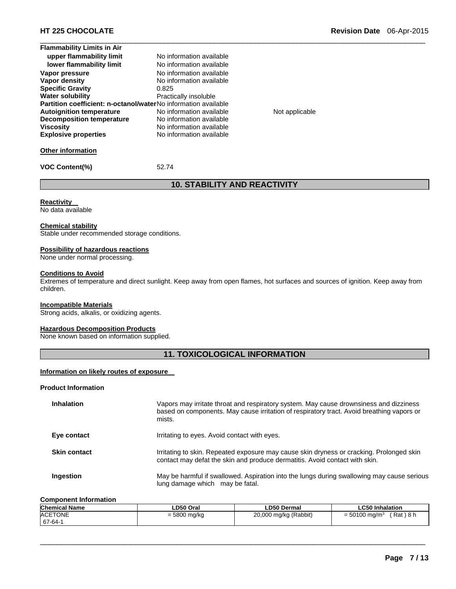| <b>Flammability Limits in Air</b>                              |                          |
|----------------------------------------------------------------|--------------------------|
| upper flammability limit                                       | No information available |
| lower flammability limit                                       | No information available |
| Vapor pressure                                                 | No information available |
| Vapor density                                                  | No information available |
| <b>Specific Gravity</b>                                        | 0.825                    |
| <b>Water solubility</b>                                        | Practically insoluble    |
| Partition coefficient: n-octanol/waterNo information available |                          |
| <b>Autoignition temperature</b>                                | No information available |
| <b>Decomposition temperature</b>                               | No information available |
| <b>Viscosity</b>                                               | No information available |
| <b>Explosive properties</b>                                    | No information available |
|                                                                |                          |

**Not applicable** 

#### **Other information**

**VOC Content(%)** 52.74

# **10. STABILITY AND REACTIVITY**

 $\Box$ 

**Reactivity** 

No data available

#### **Chemical stability**

Stable under recommended storage conditions.

#### **Possibility of hazardous reactions**

None under normal processing.

## **Conditions to Avoid**

Extremes of temperature and direct sunlight. Keep away from open flames, hot surfaces and sources of ignition. Keep away from children.

#### **Incompatible Materials**

Strong acids, alkalis, or oxidizing agents.

#### **Hazardous Decomposition Products**

None known based on information supplied.

# **11. TOXICOLOGICAL INFORMATION**

#### **Information on likely routes of exposure**

#### **Product Information**

| <b>Inhalation</b>   | Vapors may irritate throat and respiratory system. May cause drownsiness and dizziness<br>based on components. May cause irritation of respiratory tract. Avoid breathing vapors or<br>mists. |
|---------------------|-----------------------------------------------------------------------------------------------------------------------------------------------------------------------------------------------|
| Eye contact         | Irritating to eyes. Avoid contact with eyes.                                                                                                                                                  |
| <b>Skin contact</b> | Irritating to skin. Repeated exposure may cause skin dryness or cracking. Prolonged skin<br>contact may defat the skin and produce dermatitis. Avoid contact with skin.                       |
| Ingestion           | May be harmful if swallowed. Aspiration into the lungs during swallowing may cause serious<br>lung damage which may be fatal.                                                                 |

#### **Component Information**

| <b>Chemical Name</b> | ∟D50 Oral      | <b>LD50 Dermal</b>    | <b>LC50 Inhalation</b>                         |
|----------------------|----------------|-----------------------|------------------------------------------------|
| ACETONE              | $= 5800$ mg/kg | 20,000 mg/kg (Rabbit) | $'$ Rat $)$ 8 h<br>$=$ 50100 mg/m <sup>3</sup> |
| 67-64-1              |                |                       |                                                |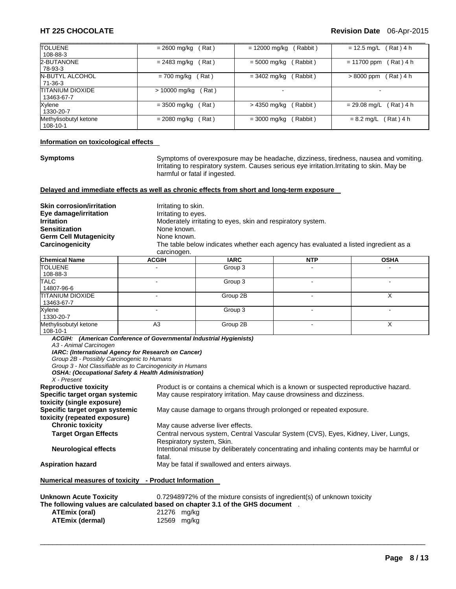#### **HT 225 CHOCOLATE Revision Date** 06-Apr-2015

| <b>TOLUENE</b>                 | Rat)                  | $= 12000$ mg/kg | Rat ) 4 h      |
|--------------------------------|-----------------------|-----------------|----------------|
| 108-88-3                       | $= 2600$ mg/kg        | Rabbit)         | $= 12.5$ mg/L  |
| 2-BUTANONE                     | $= 2483$ mg/kg        | $= 5000$ mg/kg  | $= 11700$ ppm  |
| 78-93-3                        | Rat)                  | Rabbit)         | $Rat)$ 4 h     |
| N-BUTYL ALCOHOL                | Rat)                  | $= 3402$ mg/kg  | > 8000 ppm     |
| 71-36-3                        | = 700 mg/kg           | Rabbit)         | $Rat)$ 4 h     |
| TITANIUM DIOXIDE<br>13463-67-7 | > 10000 mg/kg<br>Rat) |                 |                |
| Xylene                         | Rat)                  | Rabbit)         | $Rat)$ 4 h     |
| 1330-20-7                      | $= 3500$ mg/kg        | > 4350 mg/kg    | $= 29.08$ mg/L |
| Methylisobutyl ketone          | $= 2080$ mg/kg        | $= 3000$ mg/kg  | Rat ) 4 h      |
| 108-10-1                       | Rat)                  | Rabbit)         | $= 8.2$ mg/L   |

#### **Information on toxicological effects**

**Symptoms** Symptoms of overexposure may be headache, dizziness, tiredness, nausea and vomiting. Irritating to respiratory system. Causes serious eye irritation.Irritating to skin. May be harmful or fatal if ingested.

#### **Delayed and immediate effects as well as chronic effects from short and long-term exposure**

| <b>Skin corrosion/irritation</b><br>Eye damage/irritation | Irritating to skin.<br>Irritating to eyes.                                           |
|-----------------------------------------------------------|--------------------------------------------------------------------------------------|
| Irritation                                                | Moderately irritating to eyes, skin and respiratory system.                          |
| Sensitization                                             | None known.                                                                          |
| Germ Cell Mutagenicity                                    | None known.                                                                          |
| Carcinogenicity                                           | The table below indicates whether each agency has evaluated a listed ingredient as a |
|                                                           | carcinogen.                                                                          |

| <b>Chemical Name</b>                  | <b>ACGIH</b>   | <b>IARC</b> | <b>NTP</b>               | <b>OSHA</b>              |
|---------------------------------------|----------------|-------------|--------------------------|--------------------------|
| <b>TOLUENE</b><br>108-88-3            |                | Group 3     |                          |                          |
| <b>TALC</b><br>14807-96-6             |                | Group 3     |                          |                          |
| <b>TITANIUM DIOXIDE</b><br>13463-67-7 |                | Group 2B    |                          |                          |
| Xylene<br>1330-20-7                   |                | Group 3     | $\overline{\phantom{0}}$ | $\overline{\phantom{0}}$ |
| Methylisobutyl ketone<br>108-10-1     | A <sub>3</sub> | Group 2B    |                          |                          |

*ACGIH: (American Conference of Governmental Industrial Hygienists) A3 - Animal Carcinogen IARC: (International Agency for Research on Cancer) Group 2B - Possibly Carcinogenic to Humans* 

*Group 3 - Not Classifiable as to Carcinogenicity in Humans* 

*OSHA: (Occupational Safety & Health Administration)* 

*X - Present* 

**Reproductive toxicity** Product is or contains a chemical which is a known or suspected reproductive hazard. **Specific target organ systemic toxicity (single exposure)**  May cause respiratory irritation. May cause drowsiness and dizziness. **Specific target organ systemic toxicity (repeated exposure)**  May cause damage to organs through prolonged or repeated exposure. **Chronic toxicity May cause adverse liver effects. Target Organ Effects** Central nervous system, Central Vascular System (CVS), Eyes, Kidney, Liver, Lungs, Respiratory system, Skin. **Neurological effects** Intentional misuse by deliberately concentrating and inhaling contents may be harmful or fatal. **Aspiration hazard** May be fatal if swallowed and enters airways. **Numerical measures of toxicity - Product Information** 

| Unknown Acute Toxicity |             | 0.72948972% of the mixture consists of ingredient(s) of unknown toxicity       |
|------------------------|-------------|--------------------------------------------------------------------------------|
|                        |             | The following values are calculated based on chapter 3.1 of the GHS document . |
| <b>ATEmix (oral)</b>   | 21276 mg/kg |                                                                                |
| ATEmix (dermal)        |             | 12569 mg/kg                                                                    |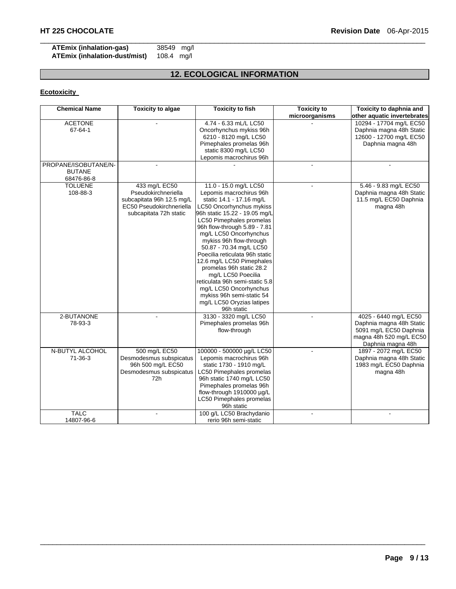### **ATEmix (inhalation-gas)** 38549 mg/l **ATEmix (inhalation-dust/mist)**

# **12. ECOLOGICAL INFORMATION**

 $\Box$ 

# **Ecotoxicity**

| <b>Chemical Name</b>                                | <b>Toxicity to algae</b>                                                                                                | <b>Toxicity to fish</b>                                                                                                                                                                                                                                                                                                                                                                                                                                                                                                                    | <b>Toxicity to</b> | Toxicity to daphnia and                                                                                                     |
|-----------------------------------------------------|-------------------------------------------------------------------------------------------------------------------------|--------------------------------------------------------------------------------------------------------------------------------------------------------------------------------------------------------------------------------------------------------------------------------------------------------------------------------------------------------------------------------------------------------------------------------------------------------------------------------------------------------------------------------------------|--------------------|-----------------------------------------------------------------------------------------------------------------------------|
|                                                     |                                                                                                                         |                                                                                                                                                                                                                                                                                                                                                                                                                                                                                                                                            | microorganisms     | other aquatic invertebrates                                                                                                 |
| <b>ACETONE</b><br>67-64-1                           |                                                                                                                         | 4.74 - 6.33 mL/L LC50<br>Oncorhynchus mykiss 96h<br>6210 - 8120 mg/L LC50<br>Pimephales promelas 96h<br>static 8300 mg/L LC50<br>Lepomis macrochirus 96h                                                                                                                                                                                                                                                                                                                                                                                   |                    | 10294 - 17704 mg/L EC50<br>Daphnia magna 48h Static<br>12600 - 12700 mg/L EC50<br>Daphnia magna 48h                         |
| PROPANE/ISOBUTANE/N-<br><b>BUTANE</b><br>68476-86-8 |                                                                                                                         |                                                                                                                                                                                                                                                                                                                                                                                                                                                                                                                                            |                    |                                                                                                                             |
| <b>TOLUENE</b><br>108-88-3                          | 433 mg/L EC50<br>Pseudokirchneriella<br>subcapitata 96h 12.5 mg/L<br>EC50 Pseudokirchneriella<br>subcapitata 72h static | 11.0 - 15.0 mg/L LC50<br>Lepomis macrochirus 96h<br>static 14.1 - 17.16 mg/L<br>LC50 Oncorhynchus mykiss<br>96h static 15.22 - 19.05 mg/L<br>LC50 Pimephales promelas<br>96h flow-through 5.89 - 7.81<br>mg/L LC50 Oncorhynchus<br>mykiss 96h flow-through<br>50.87 - 70.34 mg/L LC50<br>Poecilia reticulata 96h static<br>12.6 mg/L LC50 Pimephales<br>promelas 96h static 28.2<br>mg/L LC50 Poecilia<br>reticulata 96h semi-static 5.8<br>mg/L LC50 Oncorhynchus<br>mykiss 96h semi-static 54<br>mg/L LC50 Oryzias latipes<br>96h static |                    | 5.46 - 9.83 mg/L EC50<br>Daphnia magna 48h Static<br>11.5 mg/L EC50 Daphnia<br>magna 48h                                    |
| 2-BUTANONE<br>78-93-3                               |                                                                                                                         | 3130 - 3320 mg/L LC50<br>Pimephales promelas 96h<br>flow-through                                                                                                                                                                                                                                                                                                                                                                                                                                                                           |                    | 4025 - 6440 mg/L EC50<br>Daphnia magna 48h Static<br>5091 mg/L EC50 Daphnia<br>magna 48h 520 mg/L EC50<br>Daphnia magna 48h |
| N-BUTYL ALCOHOL<br>$71 - 36 - 3$                    | 500 mg/L EC50<br>Desmodesmus subspicatus<br>96h 500 mg/L EC50<br>Desmodesmus subspicatus<br>72h                         | 100000 - 500000 µg/L LC50<br>Lepomis macrochirus 96h<br>static 1730 - 1910 mg/L<br>LC50 Pimephales promelas<br>96h static 1740 mg/L LC50<br>Pimephales promelas 96h<br>flow-through 1910000 µg/L<br>LC50 Pimephales promelas<br>96h static                                                                                                                                                                                                                                                                                                 |                    | 1897 - 2072 mg/L EC50<br>Daphnia magna 48h Static<br>1983 mg/L EC50 Daphnia<br>magna 48h                                    |
| <b>TALC</b><br>14807-96-6                           |                                                                                                                         | 100 g/L LC50 Brachydanio<br>rerio 96h semi-static                                                                                                                                                                                                                                                                                                                                                                                                                                                                                          |                    |                                                                                                                             |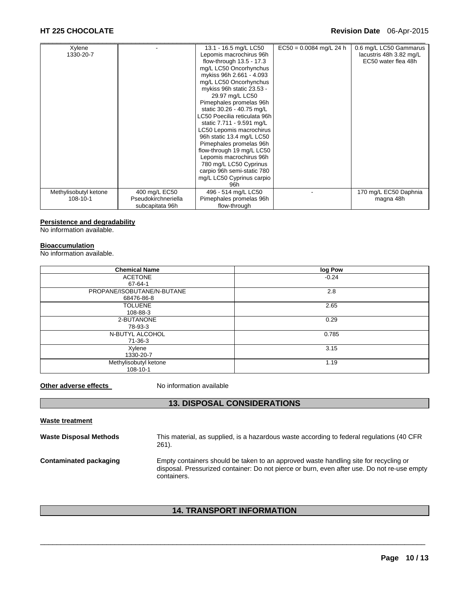| Xylene                |                     | 13.1 - 16.5 mg/L LC50        | $EC50 = 0.0084$ mg/L 24 h | 0.6 mg/L LC50 Gammarus  |
|-----------------------|---------------------|------------------------------|---------------------------|-------------------------|
| 1330-20-7             |                     | Lepomis macrochirus 96h      |                           | lacustris 48h 3.82 mg/L |
|                       |                     | flow-through $13.5 - 17.3$   |                           | EC50 water flea 48h     |
|                       |                     | mg/L LC50 Oncorhynchus       |                           |                         |
|                       |                     | mykiss 96h 2.661 - 4.093     |                           |                         |
|                       |                     | mg/L LC50 Oncorhynchus       |                           |                         |
|                       |                     | mykiss 96h static 23.53 -    |                           |                         |
|                       |                     | 29.97 mg/L LC50              |                           |                         |
|                       |                     | Pimephales promelas 96h      |                           |                         |
|                       |                     | static 30.26 - 40.75 mg/L    |                           |                         |
|                       |                     | LC50 Poecilia reticulata 96h |                           |                         |
|                       |                     | static 7.711 - 9.591 mg/L    |                           |                         |
|                       |                     | LC50 Lepomis macrochirus     |                           |                         |
|                       |                     | 96h static 13.4 mg/L LC50    |                           |                         |
|                       |                     | Pimephales promelas 96h      |                           |                         |
|                       |                     | flow-through 19 mg/L LC50    |                           |                         |
|                       |                     | Lepomis macrochirus 96h      |                           |                         |
|                       |                     | 780 mg/L LC50 Cyprinus       |                           |                         |
|                       |                     | carpio 96h semi-static 780   |                           |                         |
|                       |                     | mg/L LC50 Cyprinus carpio    |                           |                         |
|                       |                     | 96h                          |                           |                         |
| Methylisobutyl ketone | 400 mg/L EC50       | 496 - 514 mg/L LC50          |                           | 170 mg/L EC50 Daphnia   |
| 108-10-1              | Pseudokirchneriella | Pimephales promelas 96h      |                           | magna 48h               |
|                       | subcapitata 96h     | flow-through                 |                           |                         |

#### **Persistence and degradability**

No information available.

#### **Bioaccumulation**

No information available.

| <b>Chemical Name</b>       | log Pow |
|----------------------------|---------|
| <b>ACETONE</b>             | $-0.24$ |
| 67-64-1                    |         |
| PROPANE/ISOBUTANE/N-BUTANE | 2.8     |
| 68476-86-8                 |         |
| <b>TOLUENE</b>             | 2.65    |
| 108-88-3                   |         |
| 2-BUTANONE                 | 0.29    |
| 78-93-3                    |         |
| N-BUTYL ALCOHOL            | 0.785   |
| 71-36-3                    |         |
| Xylene                     | 3.15    |
| 1330-20-7                  |         |
| Methylisobutyl ketone      | 1.19    |
| 108-10-1                   |         |

**Other adverse effects** No information available

# **13. DISPOSAL CONSIDERATIONS**

| <b>Waste treatment</b>        |                                                                                                                                                                                                    |
|-------------------------------|----------------------------------------------------------------------------------------------------------------------------------------------------------------------------------------------------|
| <b>Waste Disposal Methods</b> | This material, as supplied, is a hazardous waste according to federal regulations (40 CFR<br>261).                                                                                                 |
| Contaminated packaging        | Empty containers should be taken to an approved waste handling site for recycling or<br>disposal. Pressurized container: Do not pierce or burn, even after use. Do not re-use empty<br>containers. |

# **14. TRANSPORT INFORMATION**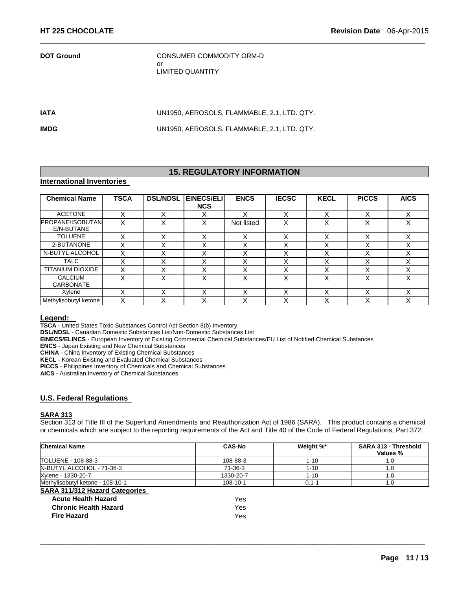**DOT Ground CONSUMER COMMODITY ORM-D** or LIMITED QUANTITY

**IATA** UN1950, AEROSOLS, FLAMMABLE, 2.1, LTD. QTY.

 $\Box$ 

**IMDG** UN1950, AEROSOLS, FLAMMABLE, 2.1, LTD. QTY.

# **15. REGULATORY INFORMATION**

### **International Inventories**

| <b>Chemical Name</b>                  | <b>TSCA</b>  | <b>DSL/NDSL</b> | EINECS/ELI<br><b>NCS</b> | <b>ENCS</b> | <b>IECSC</b> | <b>KECL</b>       | <b>PICCS</b> | <b>AICS</b> |
|---------------------------------------|--------------|-----------------|--------------------------|-------------|--------------|-------------------|--------------|-------------|
| <b>ACETONE</b>                        | $\checkmark$ | ⋏               | v<br>⋏                   | x           | v<br>ᄉ       | $\checkmark$      | $\checkmark$ | $\check{ }$ |
| <b>PROPANE/ISOBUTAN</b><br>E/N-BUTANE | X            | v<br>⋏          | X                        | Not listed  | v<br>⋏       | v<br>⌒            | ν            | $\check{ }$ |
| <b>TOLUENE</b>                        |              | ⋏               | $\check{ }$<br>⋏         | х           | x            | v<br>⌒            |              | х           |
| 2-BUTANONE                            | Χ            | v<br>⋏          | $\checkmark$<br>⌒        | X           | X            | $\checkmark$<br>∧ |              | Χ           |
| N-BUTYL ALCOHOL                       |              | ∧               | $\checkmark$<br>⌒        | v           | ⋏            | v<br>⌒            |              |             |
| <b>TALC</b>                           |              |                 | $\checkmark$<br>́        | x           | X            | $\checkmark$      |              |             |
| <b>TITANIUM DIOXIDE</b>               |              | ∧               | $\checkmark$<br>⌒        | ◡           | ⌒            |                   |              |             |
| <b>CALCIUM</b><br><b>CARBONATE</b>    | x            | x               | x                        | x           | x            | v                 |              | x           |
| Xylene                                |              | ⋏               | $\checkmark$<br>⌒        | Χ           | ⌒            | $\checkmark$      |              |             |
| Methylisobutyl ketone                 |              |                 | v                        |             | ∧            | v                 |              |             |

**Legend: TSCA** - United States Toxic Substances Control Act Section 8(b) Inventory

**DSL/NDSL** - Canadian Domestic Substances List/Non-Domestic Substances List

**EINECS/ELINCS** - European Inventory of Existing Commercial Chemical Substances/EU List of Notified Chemical Substances

**ENCS** - Japan Existing and New Chemical Substances

**CHINA** - China Inventory of Existing Chemical Substances

**KECL** - Korean Existing and Evaluated Chemical Substances

**PICCS** - Philippines Inventory of Chemicals and Chemical Substances

**AICS** - Australian Inventory of Chemical Substances

#### **U.S. Federal Regulations**

#### **SARA 313**

Section 313 of Title III of the Superfund Amendments and Reauthorization Act of 1986 (SARA). This product contains a chemical or chemicals which are subject to the reporting requirements of the Act and Title 40 of the Code of Federal Regulations, Part 372:

| Chemical Name                         | <b>CAS-No</b>  | Weight %* | SARA 313 - Threshold<br>Values % |
|---------------------------------------|----------------|-----------|----------------------------------|
| TOLUENE - 108-88-3                    | 108-88-3       | $1 - 10$  | 1.0                              |
| N-BUTYL ALCOHOL - 71-36-3             | 71-36-3        | $1 - 10$  | 1.0                              |
| Xylene - 1330-20-7                    | 1330-20-7      | $1 - 10$  | 1.0                              |
| Methylisobutyl ketone - 108-10-1      | $108 - 10 - 1$ | $0.1 - 1$ | 1.0                              |
| <b>SARA 311/312 Hazard Categories</b> |                |           |                                  |
| <b>Acute Health Hazard</b>            | Yes            |           |                                  |
| <b>Chronic Health Hazard</b>          | Yes            |           |                                  |
| <b>Fire Hazard</b>                    | Yes            |           |                                  |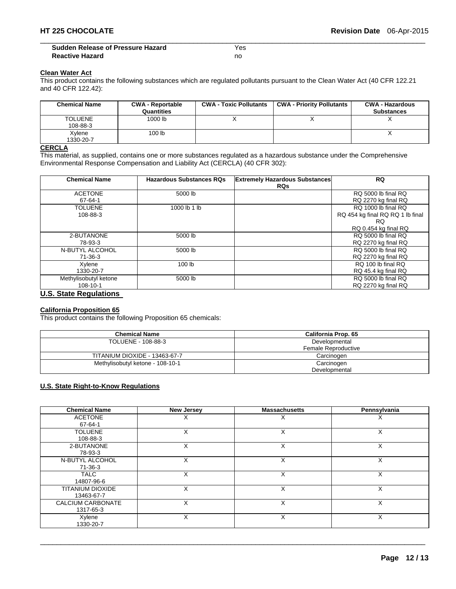$\Box$ **Sudden Release of Pressure Hazard Sudden Release of Pressure Hazard Reactive Hazard** no

#### **Clean Water Act**

This product contains the following substances which are regulated pollutants pursuant to the Clean Water Act (40 CFR 122.21 and 40 CFR 122.42):

| <b>Chemical Name</b>       | <b>CWA - Reportable</b><br>Quantities | <b>CWA - Toxic Pollutants</b> | <b>CWA - Priority Pollutants</b> | <b>CWA - Hazardous</b><br><b>Substances</b> |
|----------------------------|---------------------------------------|-------------------------------|----------------------------------|---------------------------------------------|
| <b>TOLUENE</b><br>108-88-3 | 1000 lb                               |                               |                                  |                                             |
| Xylene<br>1330-20-7        | 100 <sub>lb</sub>                     |                               |                                  |                                             |

# **CERCLA**

This material, as supplied, contains one or more substances regulated as a hazardous substance under the Comprehensive Environmental Response Compensation and Liability Act (CERCLA) (40 CFR 302):

| <b>Chemical Name</b>          | <b>Hazardous Substances RQs</b> | <b>Extremely Hazardous Substances</b> | <b>RQ</b>                        |
|-------------------------------|---------------------------------|---------------------------------------|----------------------------------|
|                               |                                 | <b>RQs</b>                            |                                  |
| <b>ACETONE</b>                | 5000 lb                         |                                       | RQ 5000 lb final RQ              |
| 67-64-1                       |                                 |                                       | RQ 2270 kg final RQ              |
| <b>TOLUENE</b>                | 1000 lb 1 lb                    |                                       | RO 1000 lb final RO              |
| 108-88-3                      |                                 |                                       | RQ 454 kg final RQ RQ 1 lb final |
|                               |                                 |                                       | RQ.                              |
|                               |                                 |                                       | RQ 0.454 kg final RQ             |
| 2-BUTANONE                    | 5000 lb                         |                                       | RQ 5000 lb final RQ              |
| 78-93-3                       |                                 |                                       | RQ 2270 kg final RQ              |
| N-BUTYL ALCOHOL               | 5000 lb                         |                                       | RO 5000 lb final RO              |
| 71-36-3                       |                                 |                                       | RQ 2270 kg final RQ              |
| Xylene                        | 100 <sub>lb</sub>               |                                       | RQ 100 lb final RQ               |
| 1330-20-7                     |                                 |                                       | RQ 45.4 kg final RQ              |
| Methylisobutyl ketone         | 5000 lb                         |                                       | RQ 5000 lb final RQ              |
| 108-10-1                      |                                 |                                       | RQ 2270 kg final RQ              |
| <b>U.S. State Regulations</b> |                                 |                                       |                                  |

# **California Proposition 65**

This product contains the following Proposition 65 chemicals:

| <b>Chemical Name</b>             | California Prop. 65 |  |
|----------------------------------|---------------------|--|
| TOLUENE - 108-88-3               | Developmental       |  |
|                                  | Female Reproductive |  |
| TITANIUM DIOXIDE - 13463-67-7    | Carcinogen          |  |
| Methylisobutyl ketone - 108-10-1 | Carcinogen          |  |
|                                  | Developmental       |  |

### **U.S. State Right-to-Know Regulations**

| <b>Chemical Name</b>     | <b>New Jersey</b> | <b>Massachusetts</b> | Pennsylvania |
|--------------------------|-------------------|----------------------|--------------|
| <b>ACETONE</b>           | X                 | ⋏                    | ⋏            |
| 67-64-1                  |                   |                      |              |
| <b>TOLUENE</b>           | X                 | X                    | X            |
| 108-88-3                 |                   |                      |              |
| 2-BUTANONE               | X                 | X                    | X            |
| 78-93-3                  |                   |                      |              |
| N-BUTYL ALCOHOL          | X                 | X                    | X            |
| $71 - 36 - 3$            |                   |                      |              |
| <b>TALC</b>              | X                 | X                    | X            |
| 14807-96-6               |                   |                      |              |
| TITANIUM DIOXIDE         | X                 | X                    | x            |
| 13463-67-7               |                   |                      |              |
| <b>CALCIUM CARBONATE</b> | X                 | X                    | X            |
| 1317-65-3                |                   |                      |              |
| Xylene                   | X                 | X                    | X            |
| 1330-20-7                |                   |                      |              |